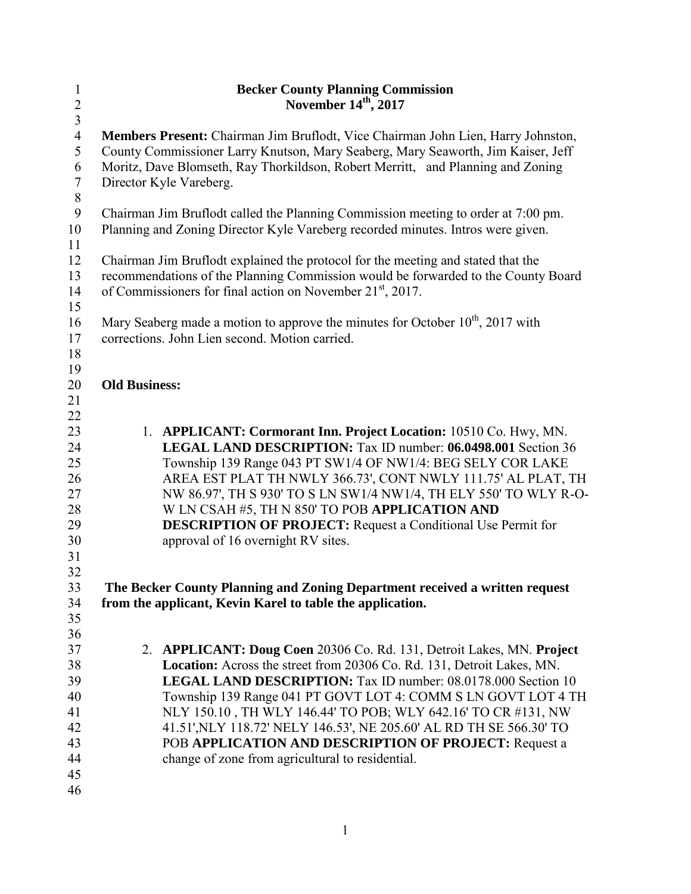| $\mathbf{1}$     | <b>Becker County Planning Commission</b>                                                   |
|------------------|--------------------------------------------------------------------------------------------|
| $\overline{2}$   | November 14th, 2017                                                                        |
| $\overline{3}$   |                                                                                            |
| $\overline{4}$   | Members Present: Chairman Jim Bruflodt, Vice Chairman John Lien, Harry Johnston,           |
| 5                | County Commissioner Larry Knutson, Mary Seaberg, Mary Seaworth, Jim Kaiser, Jeff           |
| 6                | Moritz, Dave Blomseth, Ray Thorkildson, Robert Merritt, and Planning and Zoning            |
| $\tau$           | Director Kyle Vareberg.                                                                    |
| $\,8\,$          |                                                                                            |
| $\boldsymbol{9}$ | Chairman Jim Bruflodt called the Planning Commission meeting to order at 7:00 pm.          |
| 10               | Planning and Zoning Director Kyle Vareberg recorded minutes. Intros were given.            |
| 11               |                                                                                            |
| 12               | Chairman Jim Bruflodt explained the protocol for the meeting and stated that the           |
| 13               | recommendations of the Planning Commission would be forwarded to the County Board          |
| 14               | of Commissioners for final action on November 21 <sup>st</sup> , 2017.                     |
| 15               |                                                                                            |
| 16               | Mary Seaberg made a motion to approve the minutes for October 10 <sup>th</sup> , 2017 with |
| 17               | corrections. John Lien second. Motion carried.                                             |
| 18               |                                                                                            |
| 19               |                                                                                            |
| 20<br>21         | <b>Old Business:</b>                                                                       |
| 22               |                                                                                            |
| 23               | 1. APPLICANT: Cormorant Inn. Project Location: 10510 Co. Hwy, MN.                          |
| 24               | LEGAL LAND DESCRIPTION: Tax ID number: 06.0498.001 Section 36                              |
| 25               | Township 139 Range 043 PT SW1/4 OF NW1/4: BEG SELY COR LAKE                                |
| 26               | AREA EST PLAT TH NWLY 366.73', CONT NWLY 111.75' AL PLAT, TH                               |
| 27               | NW 86.97', TH S 930' TO S LN SW1/4 NW1/4, TH ELY 550' TO WLY R-O-                          |
| 28               | W LN CSAH #5, TH N 850' TO POB APPLICATION AND                                             |
| 29               | <b>DESCRIPTION OF PROJECT:</b> Request a Conditional Use Permit for                        |
| 30               | approval of 16 overnight RV sites.                                                         |
| 31               |                                                                                            |
| 32               |                                                                                            |
| 33               | The Becker County Planning and Zoning Department received a written request                |
| 34               | from the applicant, Kevin Karel to table the application.                                  |
| 35               |                                                                                            |
| 36               |                                                                                            |
| 37               | 2. APPLICANT: Doug Coen 20306 Co. Rd. 131, Detroit Lakes, MN. Project                      |
| 38               | Location: Across the street from 20306 Co. Rd. 131, Detroit Lakes, MN.                     |
| 39               | <b>LEGAL LAND DESCRIPTION:</b> Tax ID number: 08.0178.000 Section 10                       |
| 40               | Township 139 Range 041 PT GOVT LOT 4: COMM S LN GOVT LOT 4 TH                              |
| 41               | NLY 150.10, TH WLY 146.44' TO POB; WLY 642.16' TO CR #131, NW                              |
| 42               | 41.51', NLY 118.72' NELY 146.53', NE 205.60' AL RD TH SE 566.30' TO                        |
| 43               | POB APPLICATION AND DESCRIPTION OF PROJECT: Request a                                      |
| 44               | change of zone from agricultural to residential.                                           |
| 45               |                                                                                            |
| 46               |                                                                                            |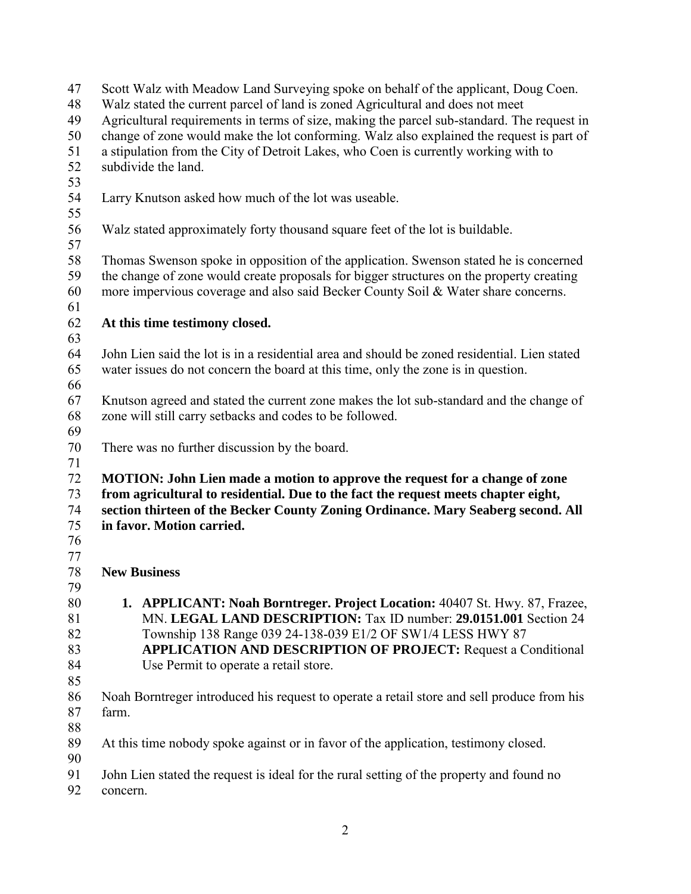| 47 | Scott Walz with Meadow Land Surveying spoke on behalf of the applicant, Doug Coen.           |
|----|----------------------------------------------------------------------------------------------|
| 48 | Walz stated the current parcel of land is zoned Agricultural and does not meet               |
| 49 | Agricultural requirements in terms of size, making the parcel sub-standard. The request in   |
| 50 | change of zone would make the lot conforming. Walz also explained the request is part of     |
| 51 | a stipulation from the City of Detroit Lakes, who Coen is currently working with to          |
| 52 | subdivide the land.                                                                          |
| 53 |                                                                                              |
| 54 | Larry Knutson asked how much of the lot was useable.                                         |
| 55 |                                                                                              |
| 56 | Walz stated approximately forty thousand square feet of the lot is buildable.                |
| 57 |                                                                                              |
| 58 | Thomas Swenson spoke in opposition of the application. Swenson stated he is concerned        |
| 59 | the change of zone would create proposals for bigger structures on the property creating     |
|    |                                                                                              |
| 60 | more impervious coverage and also said Becker County Soil & Water share concerns.            |
| 61 |                                                                                              |
| 62 | At this time testimony closed.                                                               |
| 63 |                                                                                              |
| 64 | John Lien said the lot is in a residential area and should be zoned residential. Lien stated |
| 65 | water issues do not concern the board at this time, only the zone is in question.            |
| 66 |                                                                                              |
| 67 | Knutson agreed and stated the current zone makes the lot sub-standard and the change of      |
| 68 | zone will still carry setbacks and codes to be followed.                                     |
| 69 |                                                                                              |
| 70 | There was no further discussion by the board.                                                |
| 71 |                                                                                              |
| 72 | MOTION: John Lien made a motion to approve the request for a change of zone                  |
| 73 | from agricultural to residential. Due to the fact the request meets chapter eight,           |
| 74 | section thirteen of the Becker County Zoning Ordinance. Mary Seaberg second. All             |
| 75 | in favor. Motion carried.                                                                    |
| 76 |                                                                                              |
| 77 |                                                                                              |
| 78 | <b>New Business</b>                                                                          |
| 79 |                                                                                              |
| 80 | 1. APPLICANT: Noah Borntreger. Project Location: 40407 St. Hwy. 87, Frazee,                  |
| 81 | MN. LEGAL LAND DESCRIPTION: Tax ID number: 29.0151.001 Section 24                            |
| 82 |                                                                                              |
|    | Township 138 Range 039 24-138-039 E1/2 OF SW1/4 LESS HWY 87                                  |
| 83 | <b>APPLICATION AND DESCRIPTION OF PROJECT:</b> Request a Conditional                         |
| 84 | Use Permit to operate a retail store.                                                        |
| 85 |                                                                                              |
| 86 | Noah Borntreger introduced his request to operate a retail store and sell produce from his   |
| 87 | farm.                                                                                        |
| 88 |                                                                                              |
| 89 | At this time nobody spoke against or in favor of the application, testimony closed.          |
| 90 |                                                                                              |
| 91 | John Lien stated the request is ideal for the rural setting of the property and found no     |
| 92 | concern.                                                                                     |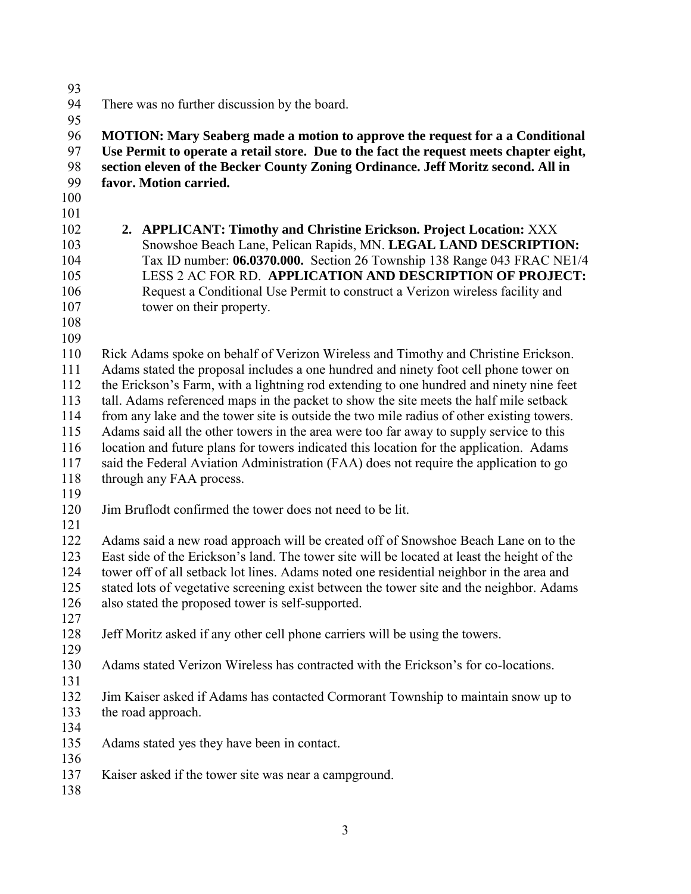There was no further discussion by the board. **MOTION: Mary Seaberg made a motion to approve the request for a a Conditional Use Permit to operate a retail store. Due to the fact the request meets chapter eight, section eleven of the Becker County Zoning Ordinance. Jeff Moritz second. All in favor. Motion carried. 2. APPLICANT: Timothy and Christine Erickson. Project Location:** XXX Snowshoe Beach Lane, Pelican Rapids, MN. **LEGAL LAND DESCRIPTION:** Tax ID number: **06.0370.000.** Section 26 Township 138 Range 043 FRAC NE1/4 LESS 2 AC FOR RD. **APPLICATION AND DESCRIPTION OF PROJECT:**  Request a Conditional Use Permit to construct a Verizon wireless facility and tower on their property. Rick Adams spoke on behalf of Verizon Wireless and Timothy and Christine Erickson. Adams stated the proposal includes a one hundred and ninety foot cell phone tower on the Erickson's Farm, with a lightning rod extending to one hundred and ninety nine feet tall. Adams referenced maps in the packet to show the site meets the half mile setback from any lake and the tower site is outside the two mile radius of other existing towers. Adams said all the other towers in the area were too far away to supply service to this location and future plans for towers indicated this location for the application. Adams said the Federal Aviation Administration (FAA) does not require the application to go through any FAA process. Jim Bruflodt confirmed the tower does not need to be lit. Adams said a new road approach will be created off of Snowshoe Beach Lane on to the East side of the Erickson's land. The tower site will be located at least the height of the tower off of all setback lot lines. Adams noted one residential neighbor in the area and stated lots of vegetative screening exist between the tower site and the neighbor. Adams also stated the proposed tower is self-supported. Jeff Moritz asked if any other cell phone carriers will be using the towers. Adams stated Verizon Wireless has contracted with the Erickson's for co-locations. Jim Kaiser asked if Adams has contacted Cormorant Township to maintain snow up to the road approach. Adams stated yes they have been in contact. Kaiser asked if the tower site was near a campground.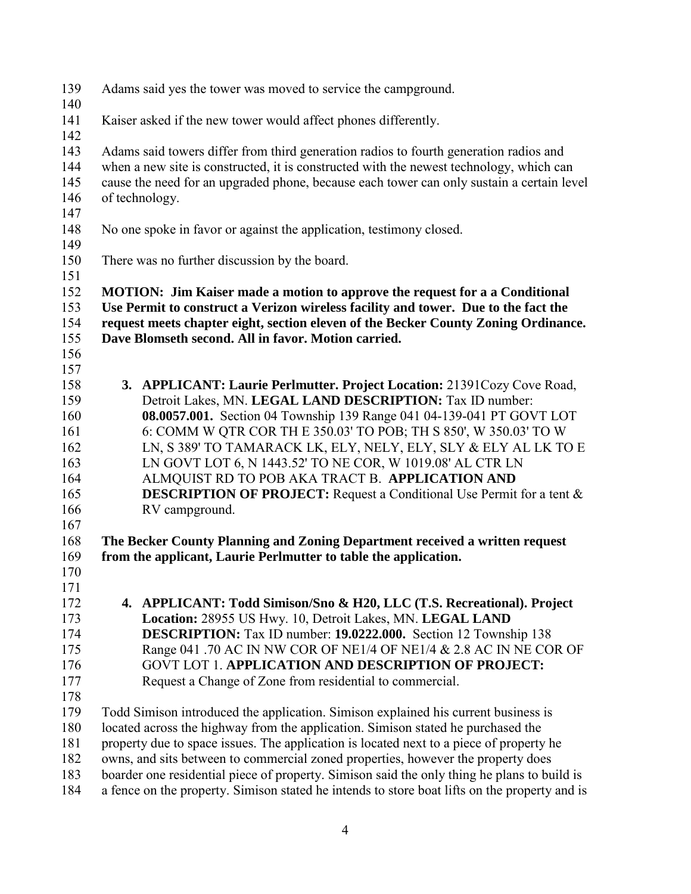| 139<br>140                      | Adams said yes the tower was moved to service the campground.                                                                                                                                                                                                                                                         |
|---------------------------------|-----------------------------------------------------------------------------------------------------------------------------------------------------------------------------------------------------------------------------------------------------------------------------------------------------------------------|
| 141<br>142                      | Kaiser asked if the new tower would affect phones differently.                                                                                                                                                                                                                                                        |
| 143<br>144<br>145<br>146<br>147 | Adams said towers differ from third generation radios to fourth generation radios and<br>when a new site is constructed, it is constructed with the newest technology, which can<br>cause the need for an upgraded phone, because each tower can only sustain a certain level<br>of technology.                       |
| 148<br>149                      | No one spoke in favor or against the application, testimony closed.                                                                                                                                                                                                                                                   |
| 150<br>151                      | There was no further discussion by the board.                                                                                                                                                                                                                                                                         |
| 152<br>153<br>154<br>155<br>156 | <b>MOTION:</b> Jim Kaiser made a motion to approve the request for a a Conditional<br>Use Permit to construct a Verizon wireless facility and tower. Due to the fact the<br>request meets chapter eight, section eleven of the Becker County Zoning Ordinance.<br>Dave Blomseth second. All in favor. Motion carried. |
| 157                             |                                                                                                                                                                                                                                                                                                                       |
| 158                             | 3. APPLICANT: Laurie Perlmutter. Project Location: 21391Cozy Cove Road,                                                                                                                                                                                                                                               |
| 159                             | Detroit Lakes, MN. LEGAL LAND DESCRIPTION: Tax ID number:                                                                                                                                                                                                                                                             |
| 160                             | 08.0057.001. Section 04 Township 139 Range 041 04-139-041 PT GOVT LOT                                                                                                                                                                                                                                                 |
| 161                             | 6: COMM W QTR COR TH E 350.03' TO POB; TH S 850', W 350.03' TO W                                                                                                                                                                                                                                                      |
| 162                             | LN, S 389' TO TAMARACK LK, ELY, NELY, ELY, SLY & ELY AL LK TO E                                                                                                                                                                                                                                                       |
| 163                             | LN GOVT LOT 6, N 1443.52' TO NE COR, W 1019.08' AL CTR LN                                                                                                                                                                                                                                                             |
| 164                             | ALMQUIST RD TO POB AKA TRACT B. APPLICATION AND                                                                                                                                                                                                                                                                       |
| 165                             | <b>DESCRIPTION OF PROJECT:</b> Request a Conditional Use Permit for a tent &                                                                                                                                                                                                                                          |
| 166                             | RV campground.                                                                                                                                                                                                                                                                                                        |
| 167                             |                                                                                                                                                                                                                                                                                                                       |
| 168                             | The Becker County Planning and Zoning Department received a written request                                                                                                                                                                                                                                           |
| 169                             |                                                                                                                                                                                                                                                                                                                       |
| 170                             | from the applicant, Laurie Perlmutter to table the application.                                                                                                                                                                                                                                                       |
| 171                             |                                                                                                                                                                                                                                                                                                                       |
|                                 |                                                                                                                                                                                                                                                                                                                       |
| 172                             | 4. APPLICANT: Todd Simison/Sno & H20, LLC (T.S. Recreational). Project                                                                                                                                                                                                                                                |
| 173                             | Location: 28955 US Hwy. 10, Detroit Lakes, MN. LEGAL LAND                                                                                                                                                                                                                                                             |
| 174                             | <b>DESCRIPTION:</b> Tax ID number: 19.0222.000. Section 12 Township 138                                                                                                                                                                                                                                               |
| 175                             | Range 041 .70 AC IN NW COR OF NE1/4 OF NE1/4 & 2.8 AC IN NE COR OF                                                                                                                                                                                                                                                    |
| 176                             | <b>GOVT LOT 1. APPLICATION AND DESCRIPTION OF PROJECT:</b>                                                                                                                                                                                                                                                            |
| 177                             | Request a Change of Zone from residential to commercial.                                                                                                                                                                                                                                                              |
| 178                             |                                                                                                                                                                                                                                                                                                                       |
| 179                             | Todd Simison introduced the application. Simison explained his current business is                                                                                                                                                                                                                                    |
| 180                             | located across the highway from the application. Simison stated he purchased the                                                                                                                                                                                                                                      |
| 181                             | property due to space issues. The application is located next to a piece of property he                                                                                                                                                                                                                               |
| 182                             | owns, and sits between to commercial zoned properties, however the property does                                                                                                                                                                                                                                      |
| 183                             | boarder one residential piece of property. Simison said the only thing he plans to build is                                                                                                                                                                                                                           |
| 184                             | a fence on the property. Simison stated he intends to store boat lifts on the property and is                                                                                                                                                                                                                         |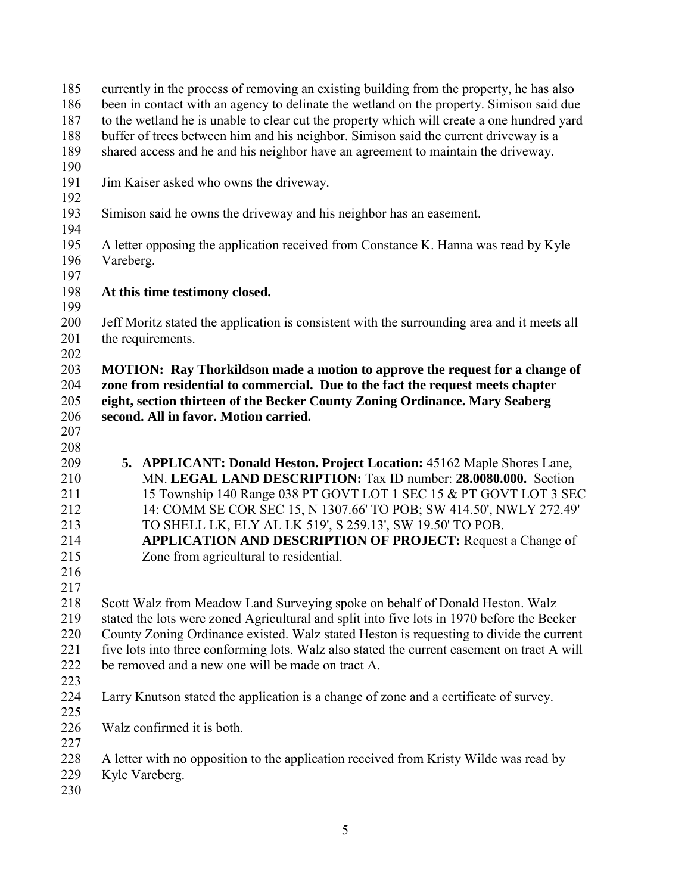| 185 | currently in the process of removing an existing building from the property, he has also                                        |
|-----|---------------------------------------------------------------------------------------------------------------------------------|
| 186 | been in contact with an agency to delinate the wetland on the property. Simison said due                                        |
| 187 | to the wetland he is unable to clear cut the property which will create a one hundred yard                                      |
| 188 | buffer of trees between him and his neighbor. Simison said the current driveway is a                                            |
| 189 | shared access and he and his neighbor have an agreement to maintain the driveway.                                               |
| 190 |                                                                                                                                 |
| 191 | Jim Kaiser asked who owns the driveway.                                                                                         |
| 192 |                                                                                                                                 |
| 193 | Simison said he owns the driveway and his neighbor has an easement.                                                             |
| 194 |                                                                                                                                 |
| 195 | A letter opposing the application received from Constance K. Hanna was read by Kyle                                             |
| 196 | Vareberg.                                                                                                                       |
| 197 |                                                                                                                                 |
| 198 | At this time testimony closed.                                                                                                  |
| 199 |                                                                                                                                 |
| 200 | Jeff Moritz stated the application is consistent with the surrounding area and it meets all                                     |
| 201 | the requirements.                                                                                                               |
| 202 |                                                                                                                                 |
| 203 | <b>MOTION:</b> Ray Thorkildson made a motion to approve the request for a change of                                             |
| 204 | zone from residential to commercial. Due to the fact the request meets chapter                                                  |
| 205 | eight, section thirteen of the Becker County Zoning Ordinance. Mary Seaberg                                                     |
| 206 | second. All in favor. Motion carried.                                                                                           |
| 207 |                                                                                                                                 |
| 208 |                                                                                                                                 |
| 209 | 5. APPLICANT: Donald Heston. Project Location: 45162 Maple Shores Lane,                                                         |
| 210 | MN. LEGAL LAND DESCRIPTION: Tax ID number: 28.0080.000. Section                                                                 |
| 211 | 15 Township 140 Range 038 PT GOVT LOT 1 SEC 15 & PT GOVT LOT 3 SEC                                                              |
| 212 | 14: COMM SE COR SEC 15, N 1307.66' TO POB; SW 414.50', NWLY 272.49'                                                             |
| 213 |                                                                                                                                 |
|     | TO SHELL LK, ELY AL LK 519', S 259.13', SW 19.50' TO POB.<br><b>APPLICATION AND DESCRIPTION OF PROJECT:</b> Request a Change of |
| 214 |                                                                                                                                 |
| 215 | Zone from agricultural to residential.                                                                                          |
| 216 |                                                                                                                                 |
| 217 |                                                                                                                                 |
| 218 | Scott Walz from Meadow Land Surveying spoke on behalf of Donald Heston. Walz                                                    |
| 219 | stated the lots were zoned Agricultural and split into five lots in 1970 before the Becker                                      |
| 220 | County Zoning Ordinance existed. Walz stated Heston is requesting to divide the current                                         |
| 221 | five lots into three conforming lots. Walz also stated the current easement on tract A will                                     |
| 222 | be removed and a new one will be made on tract A.                                                                               |
| 223 |                                                                                                                                 |
| 224 | Larry Knutson stated the application is a change of zone and a certificate of survey.                                           |
| 225 |                                                                                                                                 |
| 226 | Walz confirmed it is both.                                                                                                      |
| 227 |                                                                                                                                 |
| 228 | A letter with no opposition to the application received from Kristy Wilde was read by                                           |
| 229 | Kyle Vareberg.                                                                                                                  |
| 230 |                                                                                                                                 |